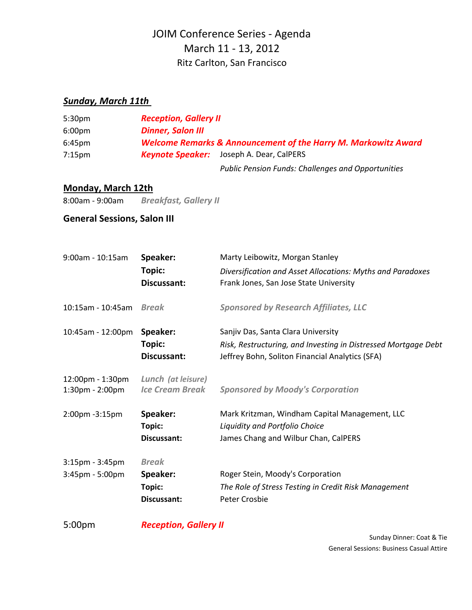# JOIM Conference Series ‐ Agenda March 11 ‐ 13, 2012 Ritz Carlton, San Francisco

#### *Sunday, March 11th*

| 5:30 <sub>pm</sub> | <b>Reception, Gallery II</b>                                              |                                                           |
|--------------------|---------------------------------------------------------------------------|-----------------------------------------------------------|
| 6:00 <sub>pm</sub> | <b>Dinner, Salon III</b>                                                  |                                                           |
| 6:45 <sub>pm</sub> | <b>Welcome Remarks &amp; Announcement of the Harry M. Markowitz Award</b> |                                                           |
| $7:15 \text{pm}$   | <b>Keynote Speaker:</b>                                                   | Joseph A. Dear, CalPERS                                   |
|                    |                                                                           | <b>Public Pension Funds: Challenges and Opportunities</b> |

#### **Monday, March 12th**

8:00am ‐ 9:00am *Breakfast, Gallery II*

### **General Sessions, Salon III**

| 9:00am - 10:15am                          | Speaker:<br>Topic:<br><b>Discussant:</b>          | Marty Leibowitz, Morgan Stanley<br>Diversification and Asset Allocations: Myths and Paradoxes<br>Frank Jones, San Jose State University                 |
|-------------------------------------------|---------------------------------------------------|---------------------------------------------------------------------------------------------------------------------------------------------------------|
| 10:15am - 10:45am                         | <b>Break</b>                                      | <b>Sponsored by Research Affiliates, LLC</b>                                                                                                            |
| 10:45am - 12:00pm                         | Speaker:<br>Topic:<br>Discussant:                 | Sanjiv Das, Santa Clara University<br>Risk, Restructuring, and Investing in Distressed Mortgage Debt<br>Jeffrey Bohn, Soliton Financial Analytics (SFA) |
| 12:00pm - 1:30pm<br>$1:30$ pm - $2:00$ pm | Lunch (at leisure)<br><b>Ice Cream Break</b>      | <b>Sponsored by Moody's Corporation</b>                                                                                                                 |
| 2:00pm -3:15pm                            | Speaker:<br>Topic:<br><b>Discussant:</b>          | Mark Kritzman, Windham Capital Management, LLC<br>Liquidity and Portfolio Choice<br>James Chang and Wilbur Chan, CalPERS                                |
| $3:15$ pm - $3:45$ pm<br>3:45pm - 5:00pm  | <b>Break</b><br>Speaker:<br>Topic:<br>Discussant: | Roger Stein, Moody's Corporation<br>The Role of Stress Testing in Credit Risk Management<br>Peter Crosbie                                               |

5:00pm

*Reception, Gallery II*